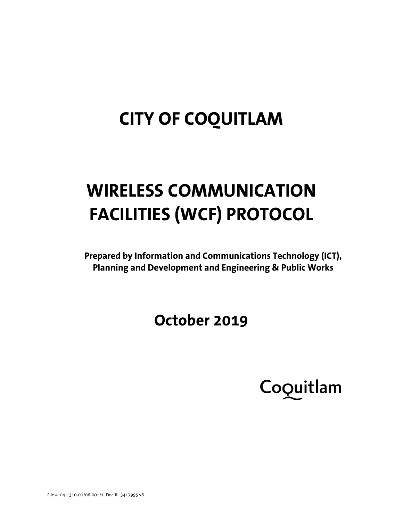## **CITY OF COQUITLAM**

# **WIRELESS COMMUNICATION FACILITIES (WCF) PROTOCOL**

**Prepared by Information and Communications Technology (ICT), Planning and Development and Engineering & Public Works**

## **October 2019**

Coquitlam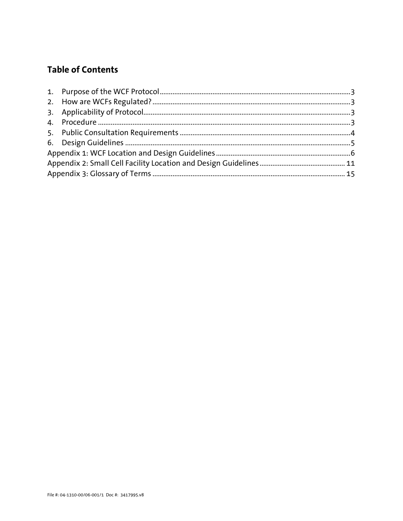## **Table of Contents**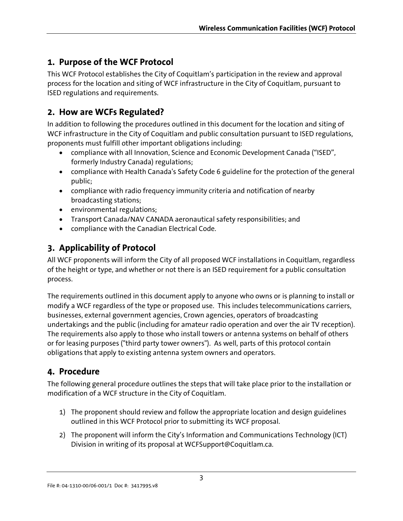## <span id="page-2-0"></span>**1. Purpose of the WCF Protocol**

This WCF Protocol establishes the City of Coquitlam's participation in the review and approval process for the location and siting of WCF infrastructure in the City of Coquitlam, pursuant to ISED regulations and requirements.

## <span id="page-2-1"></span>**2. How are WCFs Regulated?**

In addition to following the procedures outlined in this document for the location and siting of WCF infrastructure in the City of Coquitlam and public consultation pursuant to ISED regulations, proponents must fulfill other important obligations including:

- compliance with all Innovation, Science and Economic Development Canada ("ISED", formerly Industry Canada) regulations;
- compliance with Health Canada's Safety Code 6 guideline for the protection of the general public;
- compliance with radio frequency immunity criteria and notification of nearby broadcasting stations;
- environmental regulations;
- Transport Canada/NAV CANADA aeronautical safety responsibilities; and
- compliance with the Canadian Electrical Code.

## <span id="page-2-2"></span>**3. Applicability of Protocol**

All WCF proponents will inform the City of all proposed WCF installations in Coquitlam, regardless of the height or type, and whether or not there is an ISED requirement for a public consultation process.

The requirements outlined in this document apply to anyone who owns or is planning to install or modify a WCF regardless of the type or proposed use. This includes telecommunications carriers, businesses, external government agencies, Crown agencies, operators of broadcasting undertakings and the public (including for amateur radio operation and over the air TV reception). The requirements also apply to those who install towers or antenna systems on behalf of others or for leasing purposes ("third party tower owners"). As well, parts of this protocol contain obligations that apply to existing antenna system owners and operators.

## <span id="page-2-3"></span>**4. Procedure**

The following general procedure outlines the steps that will take place prior to the installation or modification of a WCF structure in the City of Coquitlam.

- 1) The proponent should review and follow the appropriate location and design guidelines outlined in this WCF Protocol prior to submitting its WCF proposal.
- 2) The proponent will inform the City's Information and Communications Technology (ICT) Division in writing of its proposal at WCFSupport@Coquitlam.ca.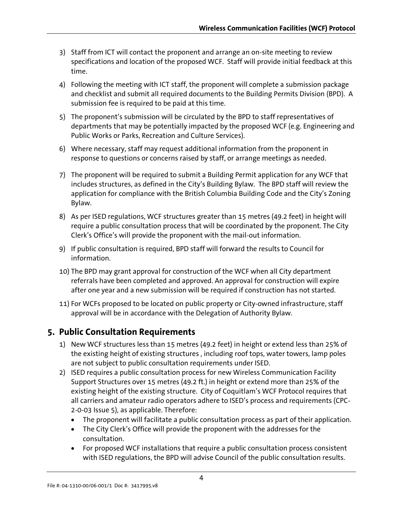- 3) Staff from ICT will contact the proponent and arrange an on-site meeting to review specifications and location of the proposed WCF. Staff will provide initial feedback at this time.
- 4) Following the meeting with ICT staff, the proponent will complete a submission package and checklist and submit all required documents to the Building Permits Division (BPD). A submission fee is required to be paid at this time.
- 5) The proponent's submission will be circulated by the BPD to staff representatives of departments that may be potentially impacted by the proposed WCF (e.g. Engineering and Public Works or Parks, Recreation and Culture Services).
- 6) Where necessary, staff may request additional information from the proponent in response to questions or concerns raised by staff, or arrange meetings as needed.
- 7) The proponent will be required to submit a Building Permit application for any WCF that includes structures, as defined in the City's Building Bylaw. The BPD staff will review the application for compliance with the British Columbia Building Code and the City's Zoning Bylaw.
- 8) As per ISED regulations, WCF structures greater than 15 metres (49.2 feet) in height will require a public consultation process that will be coordinated by the proponent. The City Clerk's Office's will provide the proponent with the mail-out information.
- 9) If public consultation is required, BPD staff will forward the results to Council for information.
- 10) The BPD may grant approval for construction of the WCF when all City department referrals have been completed and approved. An approval for construction will expire after one year and a new submission will be required if construction has not started.
- 11) For WCFs proposed to be located on public property or City-owned infrastructure, staff approval will be in accordance with the Delegation of Authority Bylaw.

## <span id="page-3-0"></span>**5. Public Consultation Requirements**

- 1) New WCF structures less than 15 metres (49.2 feet) in height or extend less than 25% of the existing height of existing structures , including roof tops, water towers, lamp poles are not subject to public consultation requirements under ISED.
- 2) ISED requires a public consultation process for new Wireless Communication Facility Support Structures over 15 metres (49.2 ft.) in height or extend more than 25% of the existing height of the existing structure. City of Coquitlam's WCF Protocol requires that all carriers and amateur radio operators adhere to ISED's process and requirements (CPC-2-0-03 Issue 5), as applicable. Therefore:
	- The proponent will facilitate a public consultation process as part of their application.
	- The City Clerk's Office will provide the proponent with the addresses for the consultation.
	- For proposed WCF installations that require a public consultation process consistent with ISED regulations, the BPD will advise Council of the public consultation results.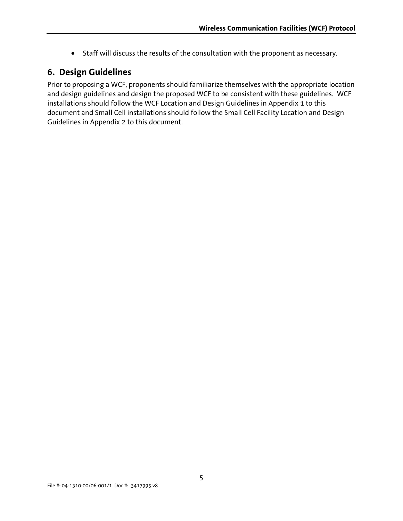• Staff will discuss the results of the consultation with the proponent as necessary.

## <span id="page-4-0"></span>**6. Design Guidelines**

Prior to proposing a WCF, proponents should familiarize themselves with the appropriate location and design guidelines and design the proposed WCF to be consistent with these guidelines. WCF installations should follow the WCF Location and Design Guidelines in Appendix 1 to this document and Small Cell installations should follow the Small Cell Facility Location and Design Guidelines in Appendix 2 to this document.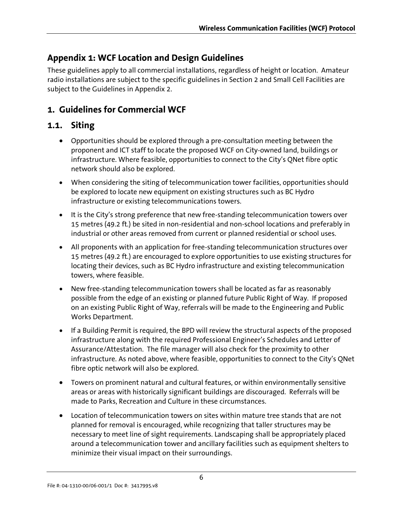## <span id="page-5-0"></span>**Appendix 1: WCF Location and Design Guidelines**

These guidelines apply to all commercial installations, regardless of height or location. Amateur radio installations are subject to the specific guidelines in Section 2 and Small Cell Facilities are subject to the Guidelines in Appendix 2.

## **1. Guidelines for Commercial WCF**

## **1.1. Siting**

- Opportunities should be explored through a pre-consultation meeting between the proponent and ICT staff to locate the proposed WCF on City-owned land, buildings or infrastructure. Where feasible, opportunities to connect to the City's QNet fibre optic network should also be explored.
- When considering the siting of telecommunication tower facilities, opportunities should be explored to locate new equipment on existing structures such as BC Hydro infrastructure or existing telecommunications towers.
- It is the City's strong preference that new free-standing telecommunication towers over 15 metres (49.2 ft.) be sited in non-residential and non-school locations and preferably in industrial or other areas removed from current or planned residential or school uses.
- All proponents with an application for free-standing telecommunication structures over 15 metres (49.2 ft.) are encouraged to explore opportunities to use existing structures for locating their devices, such as BC Hydro infrastructure and existing telecommunication towers, where feasible.
- New free-standing telecommunication towers shall be located as far as reasonably possible from the edge of an existing or planned future Public Right of Way. If proposed on an existing Public Right of Way, referrals will be made to the Engineering and Public Works Department.
- If a Building Permit is required, the BPD will review the structural aspects of the proposed infrastructure along with the required Professional Engineer's Schedules and Letter of Assurance/Attestation. The file manager will also check for the proximity to other infrastructure. As noted above, where feasible, opportunities to connect to the City's QNet fibre optic network will also be explored.
- Towers on prominent natural and cultural features, or within environmentally sensitive areas or areas with historically significant buildings are discouraged. Referrals will be made to Parks, Recreation and Culture in these circumstances.
- Location of telecommunication towers on sites within mature tree stands that are not planned for removal is encouraged, while recognizing that taller structures may be necessary to meet line of sight requirements. Landscaping shall be appropriately placed around a telecommunication tower and ancillary facilities such as equipment shelters to minimize their visual impact on their surroundings.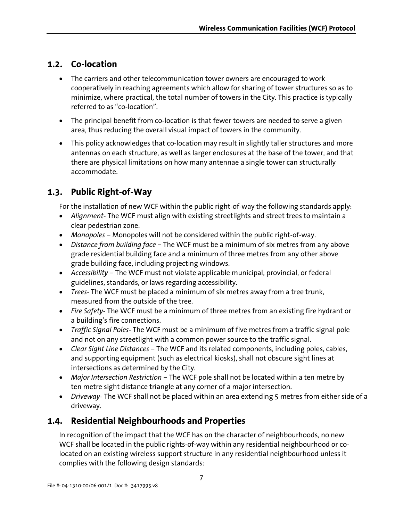## **1.2. Co-location**

- The carriers and other telecommunication tower owners are encouraged to work cooperatively in reaching agreements which allow for sharing of tower structures so as to minimize, where practical, the total number of towers in the City. This practice is typically referred to as "co-location".
- The principal benefit from co-location is that fewer towers are needed to serve a given area, thus reducing the overall visual impact of towers in the community.
- This policy acknowledges that co-location may result in slightly taller structures and more antennas on each structure, as well as larger enclosures at the base of the tower, and that there are physical limitations on how many antennae a single tower can structurally accommodate.

## **1.3. Public Right-of-Way**

For the installation of new WCF within the public right-of-way the following standards apply:

- *Alignment* The WCF must align with existing streetlights and street trees to maintain a clear pedestrian zone.
- *Monopoles*  Monopoles will not be considered within the public right-of-way.
- *Distance from building face* The WCF must be a minimum of six metres from any above grade residential building face and a minimum of three metres from any other above grade building face, including projecting windows.
- *Accessibility –* The WCF must not violate applicable municipal, provincial, or federal guidelines, standards, or laws regarding accessibility.
- *Trees* The WCF must be placed a minimum of six metres away from a tree trunk, measured from the outside of the tree.
- *Fire Safety* The WCF must be a minimum of three metres from an existing fire hydrant or a building's fire connections.
- *Traffic Signal Poles* The WCF must be a minimum of five metres from a traffic signal pole and not on any streetlight with a common power source to the traffic signal.
- *Clear Sight Line Distances –* The WCF and its related components, including poles, cables, and supporting equipment (such as electrical kiosks), shall not obscure sight lines at intersections as determined by the City.
- *Major Intersection Restriction –* The WCF pole shall not be located within a ten metre by ten metre sight distance triangle at any corner of a major intersection.
- *Driveway* The WCF shall not be placed within an area extending 5 metres from either side of a driveway.

## **1.4. Residential Neighbourhoods and Properties**

In recognition of the impact that the WCF has on the character of neighbourhoods, no new WCF shall be located in the public rights-of-way within any residential neighbourhood or colocated on an existing wireless support structure in any residential neighbourhood unless it complies with the following design standards: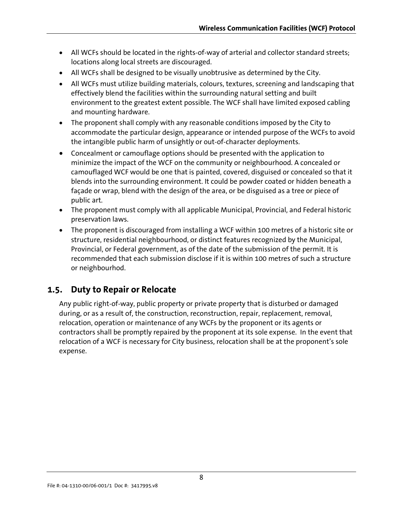- All WCFs should be located in the rights-of-way of arterial and collector standard streets; locations along local streets are discouraged.
- All WCFs shall be designed to be visually unobtrusive as determined by the City.
- All WCFs must utilize building materials, colours, textures, screening and landscaping that effectively blend the facilities within the surrounding natural setting and built environment to the greatest extent possible. The WCF shall have limited exposed cabling and mounting hardware.
- The proponent shall comply with any reasonable conditions imposed by the City to accommodate the particular design, appearance or intended purpose of the WCFs to avoid the intangible public harm of unsightly or out-of-character deployments.
- Concealment or camouflage options should be presented with the application to minimize the impact of the WCF on the community or neighbourhood. A concealed or camouflaged WCF would be one that is painted, covered, disguised or concealed so that it blends into the surrounding environment. It could be powder coated or hidden beneath a façade or wrap, blend with the design of the area, or be disguised as a tree or piece of public art.
- The proponent must comply with all applicable Municipal, Provincial, and Federal historic preservation laws.
- The proponent is discouraged from installing a WCF within 100 metres of a historic site or structure, residential neighbourhood, or distinct features recognized by the Municipal, Provincial, or Federal government, as of the date of the submission of the permit. It is recommended that each submission disclose if it is within 100 metres of such a structure or neighbourhod.

## **1.5. Duty to Repair or Relocate**

Any public right-of-way, public property or private property that is disturbed or damaged during, or as a result of, the construction, reconstruction, repair, replacement, removal, relocation, operation or maintenance of any WCFs by the proponent or its agents or contractors shall be promptly repaired by the proponent at its sole expense. In the event that relocation of a WCF is necessary for City business, relocation shall be at the proponent's sole expense.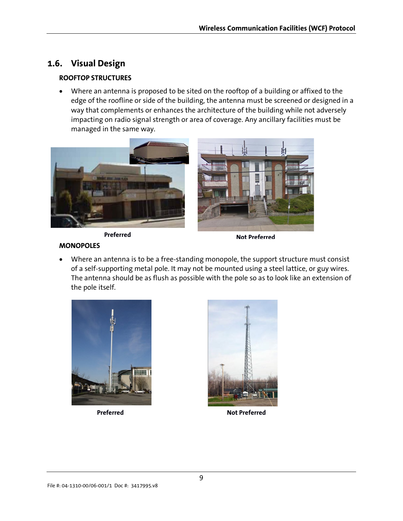## **1.6. Visual Design**

#### **ROOFTOP STRUCTURES**

• Where an antenna is proposed to be sited on the rooftop of a building or affixed to the edge of the roofline or side of the building, the antenna must be screened or designed in a way that complements or enhances the architecture of the building while not adversely impacting on radio signal strength or area of coverage. Any ancillary facilities must be managed in the same way.



**Preferred Not Preferred**

#### **MONOPOLES**

• Where an antenna is to be a free-standing monopole, the support structure must consist of a self-supporting metal pole. It may not be mounted using a steel lattice, or guy wires. The antenna should be as flush as possible with the pole so as to look like an extension of the pole itself.





**Preferred Not Preferred**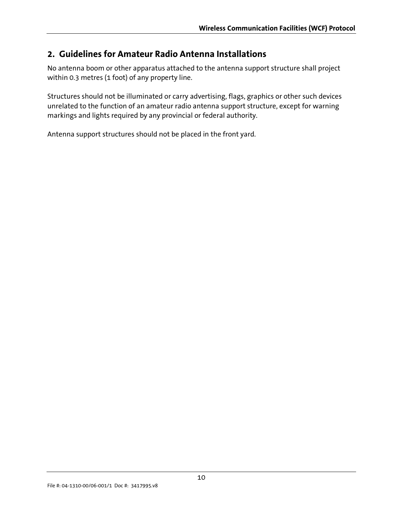## **2. Guidelines for Amateur Radio Antenna Installations**

No antenna boom or other apparatus attached to the antenna support structure shall project within 0.3 metres (1 foot) of any property line.

Structures should not be illuminated or carry advertising, flags, graphics or other such devices unrelated to the function of an amateur radio antenna support structure, except for warning markings and lights required by any provincial or federal authority.

Antenna support structures should not be placed in the front yard.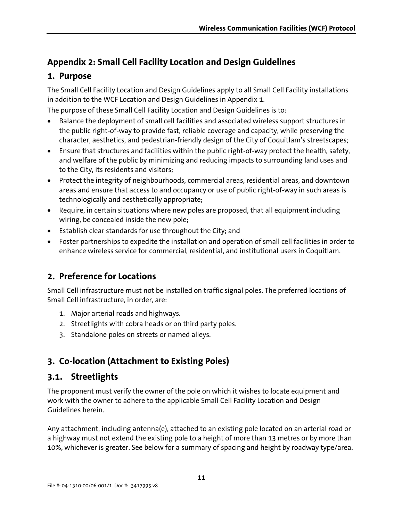## <span id="page-10-0"></span>**Appendix 2: Small Cell Facility Location and Design Guidelines**

## **1. Purpose**

The Small Cell Facility Location and Design Guidelines apply to all Small Cell Facility installations in addition to the WCF Location and Design Guidelines in Appendix 1.

The purpose of these Small Cell Facility Location and Design Guidelines is to:

- Balance the deployment of small cell facilities and associated wireless support structures in the public right-of-way to provide fast, reliable coverage and capacity, while preserving the character, aesthetics, and pedestrian-friendly design of the City of Coquitlam's streetscapes;
- Ensure that structures and facilities within the public right-of-way protect the health, safety, and welfare of the public by minimizing and reducing impacts to surrounding land uses and to the City, its residents and visitors;
- Protect the integrity of neighbourhoods, commercial areas, residential areas, and downtown areas and ensure that access to and occupancy or use of public right-of-way in such areas is technologically and aesthetically appropriate;
- Require, in certain situations where new poles are proposed, that all equipment including wiring, be concealed inside the new pole;
- Establish clear standards for use throughout the City; and
- Foster partnerships to expedite the installation and operation of small cell facilities in order to enhance wireless service for commercial, residential, and institutional users in Coquitlam.

## **2. Preference for Locations**

Small Cell infrastructure must not be installed on traffic signal poles. The preferred locations of Small Cell infrastructure, in order, are:

- 1. Major arterial roads and highways.
- 2. Streetlights with cobra heads or on third party poles.
- 3. Standalone poles on streets or named alleys.

## **3. Co-location (Attachment to Existing Poles)**

## **3.1. Streetlights**

The proponent must verify the owner of the pole on which it wishes to locate equipment and work with the owner to adhere to the applicable Small Cell Facility Location and Design Guidelines herein.

Any attachment, including antenna(e), attached to an existing pole located on an arterial road or a highway must not extend the existing pole to a height of more than 13 metres or by more than 10%, whichever is greater. See below for a summary of spacing and height by roadway type/area.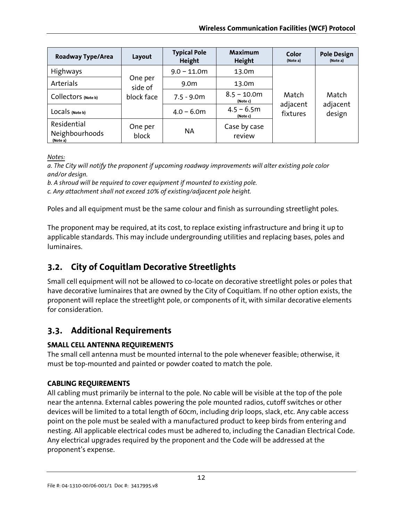| Roadway Type/Area                         | Layout             | <b>Typical Pole</b><br>Height | <b>Maximum</b><br><b>Height</b> | Color<br>(Note a)             | <b>Pole Design</b><br>(Note a) |
|-------------------------------------------|--------------------|-------------------------------|---------------------------------|-------------------------------|--------------------------------|
| Highways                                  |                    | $9.0 - 11.0m$                 | 13.0m                           | Match<br>adjacent<br>fixtures | Match<br>adjacent<br>design    |
| Arterials                                 | One per<br>side of | 9.0 <sub>m</sub>              | 13.0m                           |                               |                                |
| Collectors (Note b)                       | block face         | $7.5 - 9.0m$                  | $8.5 - 10.0m$<br>(Note c)       |                               |                                |
| LOCALS (Note b)                           |                    | $4.0 - 6.0m$                  | $4.5 - 6.5m$<br>(Note c)        |                               |                                |
| Residential<br>Neighbourhoods<br>(Note a) | One per<br>block   | <b>NA</b>                     | Case by case<br>review          |                               |                                |

*Notes:*

*a. The City will notify the proponent if upcoming roadway improvements will alter existing pole color and/or design.* 

*b. A shroud will be required to cover equipment if mounted to existing pole.* 

*c. Any attachment shall not exceed 10% of existing/adjacent pole height.* 

Poles and all equipment must be the same colour and finish as surrounding streetlight poles.

The proponent may be required, at its cost, to replace existing infrastructure and bring it up to applicable standards. This may include undergrounding utilities and replacing bases, poles and luminaires.

## **3.2. City of Coquitlam Decorative Streetlights**

Small cell equipment will not be allowed to co-locate on decorative streetlight poles or poles that have decorative luminaires that are owned by the City of Coquitlam. If no other option exists, the proponent will replace the streetlight pole, or components of it, with similar decorative elements for consideration.

## **3.3. Additional Requirements**

### **SMALL CELL ANTENNA REQUIREMENTS**

The small cell antenna must be mounted internal to the pole whenever feasible; otherwise, it must be top-mounted and painted or powder coated to match the pole.

#### **CABLING REQUIREMENTS**

All cabling must primarily be internal to the pole. No cable will be visible at the top of the pole near the antenna. External cables powering the pole mounted radios, cutoff switches or other devices will be limited to a total length of 60cm, including drip loops, slack, etc. Any cable access point on the pole must be sealed with a manufactured product to keep birds from entering and nesting. All applicable electrical codes must be adhered to, including the Canadian Electrical Code. Any electrical upgrades required by the proponent and the Code will be addressed at the proponent's expense.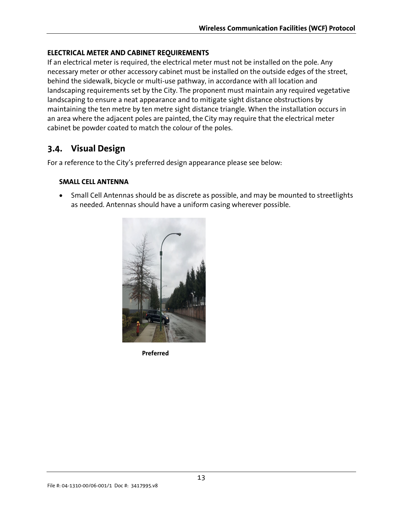#### **ELECTRICAL METER AND CABINET REQUIREMENTS**

If an electrical meter is required, the electrical meter must not be installed on the pole. Any necessary meter or other accessory cabinet must be installed on the outside edges of the street, behind the sidewalk, bicycle or multi-use pathway, in accordance with all location and landscaping requirements set by the City. The proponent must maintain any required vegetative landscaping to ensure a neat appearance and to mitigate sight distance obstructions by maintaining the ten metre by ten metre sight distance triangle. When the installation occurs in an area where the adjacent poles are painted, the City may require that the electrical meter cabinet be powder coated to match the colour of the poles.

### **3.4. Visual Design**

For a reference to the City's preferred design appearance please see below:

#### **SMALL CELL ANTENNA**

• Small Cell Antennas should be as discrete as possible, and may be mounted to streetlights as needed. Antennas should have a uniform casing wherever possible.



**Preferred**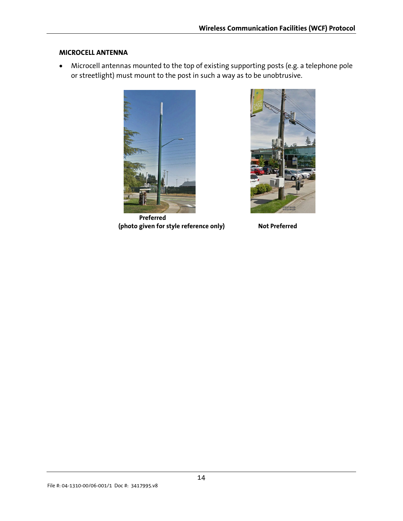#### **MICROCELL ANTENNA**

• Microcell antennas mounted to the top of existing supporting posts (e.g. a telephone pole or streetlight) must mount to the post in such a way as to be unobtrusive.



 **Preferred (photo given for style reference only) Not Preferred**